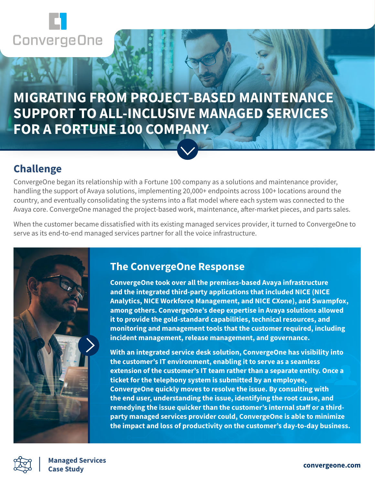

# **MIGRATING FROM PROJECT-BASED MAINTENANCE SUPPORT TO ALL-INCLUSIVE MANAGED SERVICES FOR A FORTUNE 100 COMPANY**

### **Challenge**

ConvergeOne began its relationship with a Fortune 100 company as a solutions and maintenance provider, handling the support of Avaya solutions, implementing 20,000+ endpoints across 100+ locations around the country, and eventually consolidating the systems into a flat model where each system was connected to the Avaya core. ConvergeOne managed the project-based work, maintenance, after-market pieces, and parts sales.

When the customer became dissatisfied with its existing managed services provider, it turned to ConvergeOne to serve as its end-to-end managed services partner for all the voice infrastructure.



### **The ConvergeOne Response**

**ConvergeOne took over all the premises-based Avaya infrastructure and the integrated third-party applications that included NICE (NICE Analytics, NICE Workforce Management, and NICE CXone), and Swampfox, among others. ConvergeOne's deep expertise in Avaya solutions allowed it to provide the gold-standard capabilities, technical resources, and monitoring and management tools that the customer required, including incident management, release management, and governance.**

**With an integrated service desk solution, ConvergeOne has visibility into the customer's IT environment, enabling it to serve as a seamless extension of the customer's IT team rather than a separate entity. Once a ticket for the telephony system is submitted by an employee, ConvergeOne quickly moves to resolve the issue. By consulting with the end user, understanding the issue, identifying the root cause, and remedying the issue quicker than the customer's internal staff or a thirdparty managed services provider could, ConvergeOne is able to minimize the impact and loss of productivity on the customer's day-to-day business.** 



**convergeone.com Managed Services** Managed Serv<mark>ic</mark>es<br>Case Studv